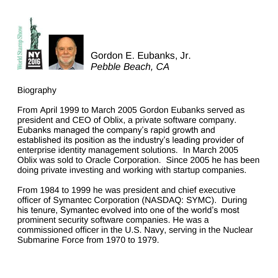

Gordon E. Eubanks, Jr. *Pebble Beach, CA*

**Biography** 

From April 1999 to March 2005 Gordon Eubanks served as president and CEO of Oblix, a private software company. Eubanks managed the company's rapid growth and established its position as the industry's leading provider of enterprise identity management solutions. In March 2005 Oblix was sold to Oracle Corporation. Since 2005 he has been doing private investing and working with startup companies.

From 1984 to 1999 he was president and chief executive officer of Symantec Corporation (NASDAQ: SYMC). During his tenure, Symantec evolved into one of the world's most prominent security software companies. He was a commissioned officer in the U.S. Navy, serving in the Nuclear Submarine Force from 1970 to 1979.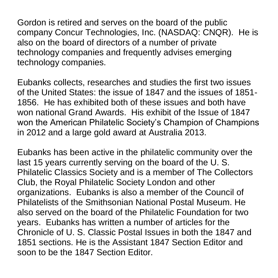Gordon is retired and serves on the board of the public company Concur Technologies, Inc. (NASDAQ: CNQR). He is also on the board of directors of a number of private technology companies and frequently advises emerging technology companies.

Eubanks collects, researches and studies the first two issues of the United States: the issue of 1847 and the issues of 1851- 1856. He has exhibited both of these issues and both have won national Grand Awards. His exhibit of the Issue of 1847 won the American Philatelic Society's Champion of Champions in 2012 and a large gold award at Australia 2013.

Eubanks has been active in the philatelic community over the last 15 years currently serving on the board of the U. S. Philatelic Classics Society and is a member of The Collectors Club, the Royal Philatelic Society London and other organizations. Eubanks is also a member of the Council of Philatelists of the Smithsonian National Postal Museum. He also served on the board of the Philatelic Foundation for two years. Eubanks has written a number of articles for the Chronicle of U. S. Classic Postal Issues in both the 1847 and 1851 sections. He is the Assistant 1847 Section Editor and soon to be the 1847 Section Editor.